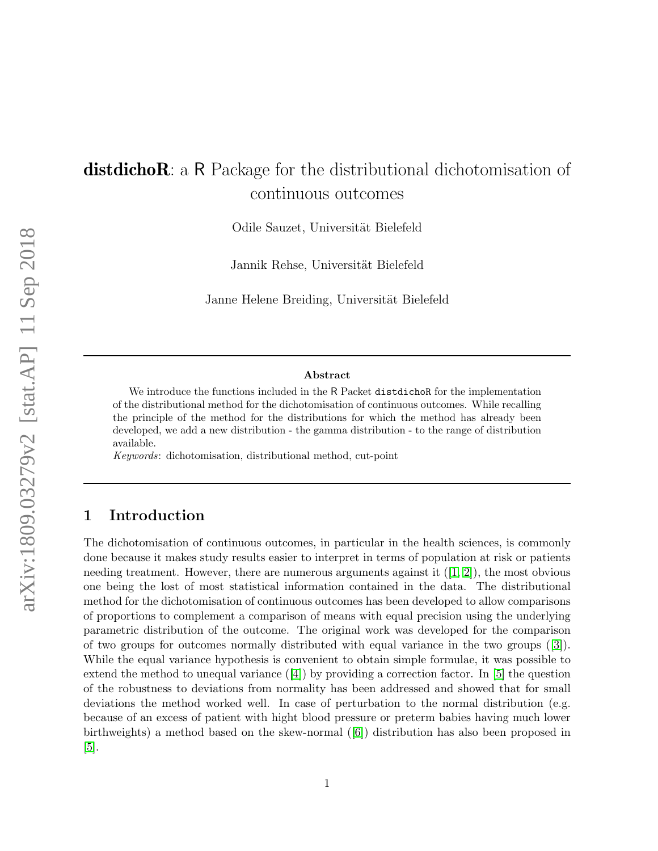# distdichoR: a R Package for the distributional dichotomisation of continuous outcomes

Odile Sauzet, Universität Bielefeld

Jannik Rehse, Universität Bielefeld

Janne Helene Breiding, Universität Bielefeld

#### Abstract

We introduce the functions included in the R Packet distribution for the implementation of the distributional method for the dichotomisation of continuous outcomes. While recalling the principle of the method for the distributions for which the method has already been developed, we add a new distribution - the gamma distribution - to the range of distribution available.

Keywords: dichotomisation, distributional method, cut-point

# 1 Introduction

The dichotomisation of continuous outcomes, in particular in the health sciences, is commonly done because it makes study results easier to interpret in terms of population at risk or patients needingtreatment. However, there are numerous arguments against it  $(1, 2)$ , the most obvious one being the lost of most statistical information contained in the data. The distributional method for the dichotomisation of continuous outcomes has been developed to allow comparisons of proportions to complement a comparison of means with equal precision using the underlying parametric distribution of the outcome. The original work was developed for the comparison of two groups for outcomes normally distributed with equal variance in the two groups([\[3\]](#page-19-2)). While the equal variance hypothesis is convenient to obtain simple formulae, it was possible to extendthe method to unequal variance  $([4])$  $([4])$  $([4])$  by providing a correction factor. In [\[5\]](#page-19-4) the question of the robustness to deviations from normality has been addressed and showed that for small deviations the method worked well. In case of perturbation to the normal distribution (e.g. because of an excess of patient with hight blood pressure or preterm babies having much lower birthweights) a method based on the skew-normal([\[6\]](#page-19-5)) distribution has also been proposed in [\[5\]](#page-19-4).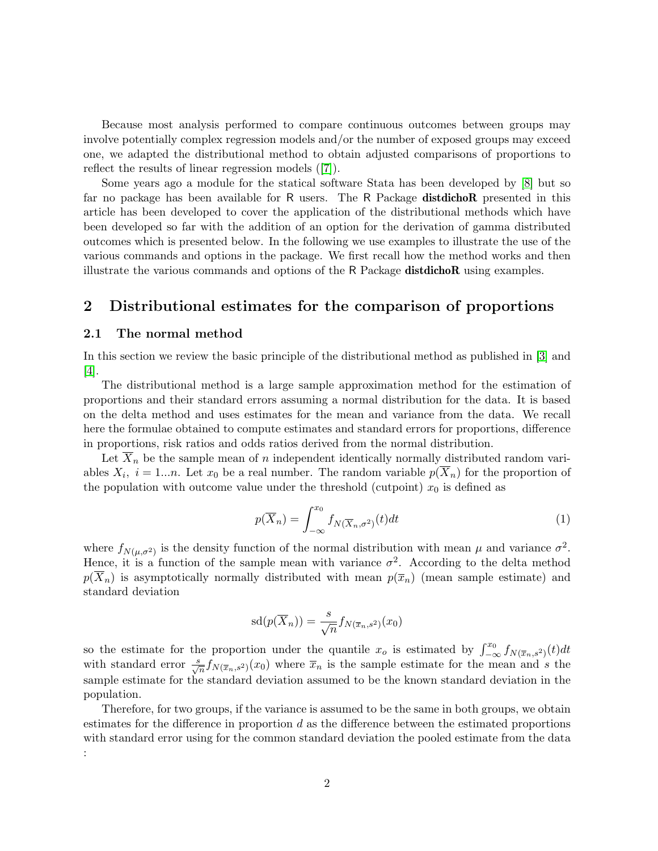Because most analysis performed to compare continuous outcomes between groups may involve potentially complex regression models and/or the number of exposed groups may exceed one, we adapted the distributional method to obtain adjusted comparisons of proportions to reflect the results of linear regression models([\[7\]](#page-19-6)).

Some years ago a module for the statical software Stata has been developed by [\[8\]](#page-19-7) but so far no package has been available for R users. The R Package distdichoR presented in this article has been developed to cover the application of the distributional methods which have been developed so far with the addition of an option for the derivation of gamma distributed outcomes which is presented below. In the following we use examples to illustrate the use of the various commands and options in the package. We first recall how the method works and then illustrate the various commands and options of the R Package distdichoR using examples.

# 2 Distributional estimates for the comparison of proportions

### <span id="page-1-0"></span>2.1 The normal method

In this section we review the basic principle of the distributional method as published in [\[3\]](#page-19-2) and [\[4\]](#page-19-3).

The distributional method is a large sample approximation method for the estimation of proportions and their standard errors assuming a normal distribution for the data. It is based on the delta method and uses estimates for the mean and variance from the data. We recall here the formulae obtained to compute estimates and standard errors for proportions, difference in proportions, risk ratios and odds ratios derived from the normal distribution.

Let  $\overline{X}_n$  be the sample mean of n independent identically normally distributed random variables  $X_i$ ,  $i = 1...n$ . Let  $x_0$  be a real number. The random variable  $p(X_n)$  for the proportion of the population with outcome value under the threshold (cutpoint)  $x_0$  is defined as

$$
p(\overline{X}_n) = \int_{-\infty}^{x_0} f_{N(\overline{X}_n, \sigma^2)}(t) dt
$$
 (1)

where  $f_{N(\mu,\sigma^2)}$  is the density function of the normal distribution with mean  $\mu$  and variance  $\sigma^2$ . Hence, it is a function of the sample mean with variance  $\sigma^2$ . According to the delta method  $p(\overline{X}_n)$  is asymptotically normally distributed with mean  $p(\overline{x}_n)$  (mean sample estimate) and standard deviation

$$
sd(p(\overline{X}_n)) = \frac{s}{\sqrt{n}} f_{N(\overline{x}_n, s^2)}(x_0)
$$

so the estimate for the proportion under the quantile  $x_o$  is estimated by  $\int_{-\infty}^{x_0} f_{N(\overline{x}_n,s^2)}(t)dt$ with standard error  $\frac{s}{\sqrt{n}} f_{N(\overline{x}_n,s^2)}(x_0)$  where  $\overline{x}_n$  is the sample estimate for the mean and s the sample estimate for the standard deviation assumed to be the known standard deviation in the population.

Therefore, for two groups, if the variance is assumed to be the same in both groups, we obtain estimates for the difference in proportion  $d$  as the difference between the estimated proportions with standard error using for the common standard deviation the pooled estimate from the data :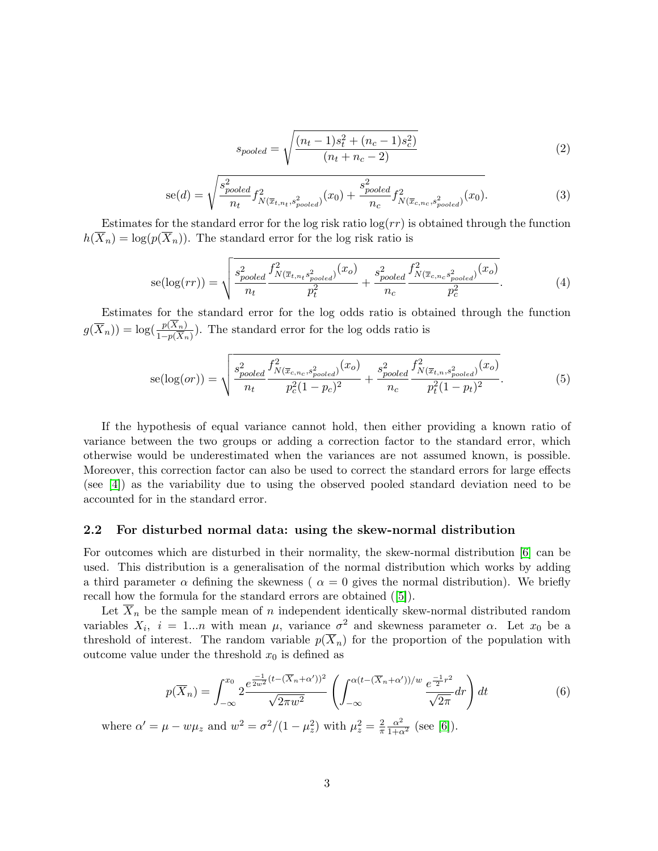$$
s_{pooled} = \sqrt{\frac{(n_t - 1)s_t^2 + (n_c - 1)s_c^2)}{(n_t + n_c - 2)}}
$$
(2)

$$
se(d) = \sqrt{\frac{s_{pooled}^2}{n_t} f_{N(\overline{x}_{t,n_t}, s_{pooled}^2)}^2(x_0) + \frac{s_{pooled}^2}{n_c} f_{N(\overline{x}_{c,n_c}, s_{pooled}^2)}^2(x_0)}.
$$
(3)

Estimates for the standard error for the log risk ratio  $log(rr)$  is obtained through the function  $h(\overline{X}_n) = \log(p(\overline{X}_n))$ . The standard error for the log risk ratio is

$$
se(log(rr)) = \sqrt{\frac{s_{pooled}^2 f_{N(\overline{x}_{t,n_t} s_{pooled}^2)}^2(x_o)}{n_t} + \frac{s_{pooled}^2 f_{N(\overline{x}_{c,n_c} s_{pooled}^2)}^2(x_o)}{n_c}}.
$$
(4)

Estimates for the standard error for the log odds ratio is obtained through the function  $g(\overline{X}_n)$  =  $\log(\frac{p(X_n)}{1-p(\overline{X}_n)})$ . The standard error for the log odds ratio is

$$
se(log(or)) = \sqrt{\frac{s_{pooled}^2}{n_t} \frac{f_{N(\overline{x}_{c, n_c}, s_{pooled}^2)}^2(x_o)}{p_c^2(1 - p_c)^2} + \frac{s_{pooled}^2}{n_c} \frac{f_{N(\overline{x}_{t, n}, s_{pooled}^2)}^2(x_o)}{p_t^2(1 - p_t)^2}}.
$$
(5)

If the hypothesis of equal variance cannot hold, then either providing a known ratio of variance between the two groups or adding a correction factor to the standard error, which otherwise would be underestimated when the variances are not assumed known, is possible. Moreover, this correction factor can also be used to correct the standard errors for large effects (see [\[4\]](#page-19-3)) as the variability due to using the observed pooled standard deviation need to be accounted for in the standard error.

### 2.2 For disturbed normal data: using the skew-normal distribution

For outcomes which are disturbed in their normality, the skew-normal distribution  $|6|$  can be used. This distribution is a generalisation of the normal distribution which works by adding a third parameter  $\alpha$  defining the skewness (  $\alpha = 0$  gives the normal distribution). We briefly recall how the formula for the standard errors are obtained([\[5\]](#page-19-4)).

Let  $X_n$  be the sample mean of n independent identically skew-normal distributed random variables  $X_i$ ,  $i = 1...n$  with mean  $\mu$ , variance  $\sigma^2$  and skewness parameter  $\alpha$ . Let  $x_0$  be a threshold of interest. The random variable  $p(\overline{X}_n)$  for the proportion of the population with outcome value under the threshold  $x_0$  is defined as

$$
p(\overline{X}_n) = \int_{-\infty}^{x_0} 2 \frac{e^{\frac{-1}{2w^2}(t - (\overline{X}_n + \alpha'))^2}}{\sqrt{2\pi w^2}} \left( \int_{-\infty}^{\alpha(t - (\overline{X}_n + \alpha'))/w} \frac{e^{\frac{-1}{2}r^2}}{\sqrt{2\pi}} dr \right) dt \tag{6}
$$

where  $\alpha' = \mu - w\mu_z$  and  $w^2 = \frac{\sigma^2}{1 - \mu_z^2}$  with  $\mu_z^2 = \frac{2}{\pi}$  $\overline{\pi}$  $\frac{\alpha^2}{1+\alpha^2}$  (see [\[6\]](#page-19-5)).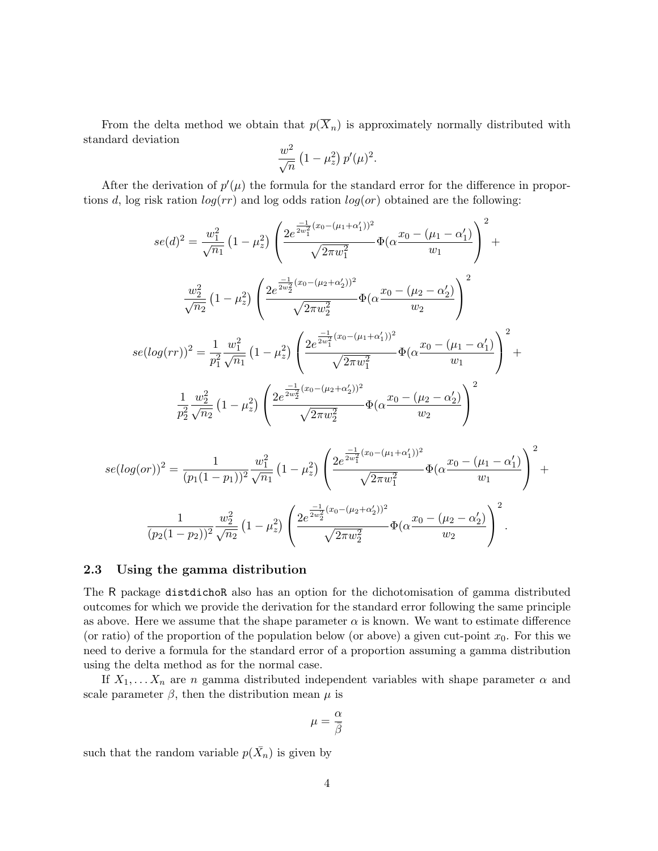From the delta method we obtain that  $p(\overline{X}_n)$  is approximately normally distributed with standard deviation

$$
\frac{w^2}{\sqrt{n}} (1 - \mu_z^2) p'(\mu)^2.
$$

After the derivation of  $p'(\mu)$  the formula for the standard error for the difference in proportions d, log risk ration  $log(rr)$  and log odds ration  $log(ar)$  obtained are the following:

$$
se(d)^{2} = \frac{w_{1}^{2}}{\sqrt{n_{1}}} \left(1 - \mu_{z}^{2}\right) \left(\frac{2e^{\frac{-1}{2w_{1}^{2}}(x_{0} - (\mu_{1} + \alpha_{1}'))^{2}}}{\sqrt{2\pi w_{1}^{2}}}\Phi(\alpha \frac{x_{0} - (\mu_{1} - \alpha_{1}')}{w_{1}})\right)^{2} + \frac{w_{2}^{2}}{\sqrt{n_{2}}} \left(1 - \mu_{z}^{2}\right) \left(\frac{2e^{\frac{-1}{2w_{2}^{2}}(x_{0} - (\mu_{2} + \alpha_{2}'))^{2}}}{\sqrt{2\pi w_{2}^{2}}}\Phi(\alpha \frac{x_{0} - (\mu_{2} - \alpha_{2}')}{w_{2}})\right)^{2} + se(log(rr))^{2} = \frac{1}{p_{1}^{2}} \frac{w_{1}^{2}}{\sqrt{n_{1}}} \left(1 - \mu_{z}^{2}\right) \left(\frac{2e^{\frac{-1}{2w_{1}^{2}}(x_{0} - (\mu_{1} + \alpha_{1}'))^{2}}}{\sqrt{2\pi w_{1}^{2}}}\Phi(\alpha \frac{x_{0} - (\mu_{1} - \alpha_{1}')}{w_{1}})\right)^{2} + \frac{1}{p_{2}^{2}} \frac{w_{2}^{2}}{\sqrt{n_{2}}} \left(1 - \mu_{z}^{2}\right) \left(\frac{2e^{\frac{-1}{2w_{2}^{2}}(x_{0} - (\mu_{2} + \alpha_{2}'))^{2}}}{\sqrt{2\pi w_{2}^{2}}}\Phi(\alpha \frac{x_{0} - (\mu_{2} - \alpha_{2}')}{w_{2}})\right)^{2}
$$

$$
se(log (or))^2 = \frac{1}{(p_1(1-p_1))^2} \frac{w_1^2}{\sqrt{n_1}} (1 - \mu_z^2) \left( \frac{2e^{\frac{-1}{2w_1^2}(x_0 - (\mu_1 + \alpha_1'))^2}}{\sqrt{2\pi w_1^2}} \Phi(\alpha \frac{x_0 - (\mu_1 - \alpha_1')}{w_1}) \right)^2 + \frac{1}{(p_2(1-p_2))^2} \frac{w_2^2}{\sqrt{n_2}} (1 - \mu_z^2) \left( \frac{2e^{\frac{-1}{2w_2^2}(x_0 - (\mu_2 + \alpha_2'))^2}}{\sqrt{2\pi w_2^2}} \Phi(\alpha \frac{x_0 - (\mu_2 - \alpha_2')}{w_2}) \right)^2.
$$

### 2.3 Using the gamma distribution

The R package distdichoR also has an option for the dichotomisation of gamma distributed outcomes for which we provide the derivation for the standard error following the same principle as above. Here we assume that the shape parameter  $\alpha$  is known. We want to estimate difference (or ratio) of the proportion of the population below (or above) a given cut-point  $x_0$ . For this we need to derive a formula for the standard error of a proportion assuming a gamma distribution using the delta method as for the normal case.

If  $X_1, \ldots, X_n$  are n gamma distributed independent variables with shape parameter  $\alpha$  and scale parameter  $\beta$ , then the distribution mean  $\mu$  is

$$
\mu=\frac{\alpha}{\bar{\beta}}
$$

such that the random variable  $p(\bar{X}_n)$  is given by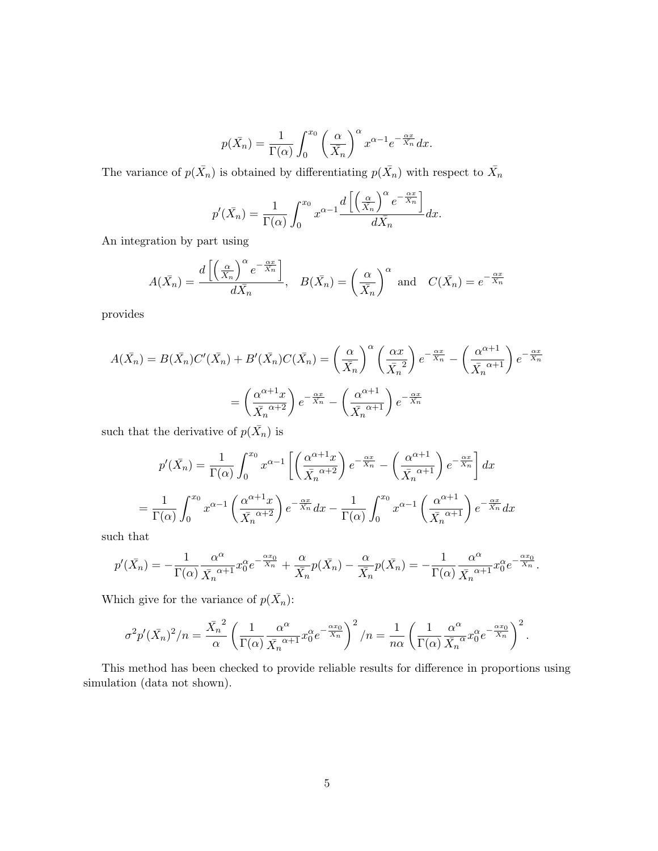$$
p(\bar{X}_n) = \frac{1}{\Gamma(\alpha)} \int_0^{x_0} \left(\frac{\alpha}{\bar{X}_n}\right)^{\alpha} x^{\alpha-1} e^{-\frac{\alpha x}{\bar{X}_n}} dx.
$$

The variance of  $p(\bar{X}_n)$  is obtained by differentiating  $p(\bar{X}_n)$  with respect to  $\bar{X}_n$ 

$$
p'(\bar{X}_n) = \frac{1}{\Gamma(\alpha)} \int_0^{x_0} x^{\alpha-1} \frac{d\left[\left(\frac{\alpha}{X_n}\right)^{\alpha} e^{-\frac{\alpha x}{X_n}}\right]}{d\bar{X}_n} dx.
$$

An integration by part using

$$
A(\bar{X}_n) = \frac{d\left[\left(\frac{\alpha}{\bar{X}_n}\right)^{\alpha} e^{-\frac{\alpha x}{\bar{X}_n}}\right]}{d\bar{X}_n}, \quad B(\bar{X}_n) = \left(\frac{\alpha}{\bar{X}_n}\right)^{\alpha} \text{ and } C(\bar{X}_n) = e^{-\frac{\alpha x}{\bar{X}_n}}
$$

provides

$$
A(\bar{X}_n) = B(\bar{X}_n)C'(\bar{X}_n) + B'(\bar{X}_n)C(\bar{X}_n) = \left(\frac{\alpha}{\bar{X}_n}\right)^{\alpha} \left(\frac{\alpha x}{\bar{X}_n^2}\right) e^{-\frac{\alpha x}{\bar{X}_n}} - \left(\frac{\alpha^{\alpha+1}}{\bar{X}_n^{\alpha+1}}\right) e^{-\frac{\alpha x}{\bar{X}_n}}
$$

$$
= \left(\frac{\alpha^{\alpha+1} x}{\bar{X}_n^{\alpha+2}}\right) e^{-\frac{\alpha x}{\bar{X}_n}} - \left(\frac{\alpha^{\alpha+1}}{\bar{X}_n^{\alpha+1}}\right) e^{-\frac{\alpha x}{\bar{X}_n}}
$$

such that the derivative of  $p(\bar{X}_n)$  is

$$
p'(\bar{X}_n) = \frac{1}{\Gamma(\alpha)} \int_0^{x_0} x^{\alpha - 1} \left[ \left( \frac{\alpha^{\alpha + 1} x}{\bar{X}_n^{\alpha + 2}} \right) e^{-\frac{\alpha x}{\bar{X}_n}} - \left( \frac{\alpha^{\alpha + 1}}{\bar{X}_n^{\alpha + 1}} \right) e^{-\frac{\alpha x}{\bar{X}_n}} \right] dx
$$
  
=  $\frac{1}{\Gamma(\alpha)} \int_0^{x_0} x^{\alpha - 1} \left( \frac{\alpha^{\alpha + 1} x}{\bar{X}_n^{\alpha + 2}} \right) e^{-\frac{\alpha x}{\bar{X}_n}} dx - \frac{1}{\Gamma(\alpha)} \int_0^{x_0} x^{\alpha - 1} \left( \frac{\alpha^{\alpha + 1}}{\bar{X}_n^{\alpha + 1}} \right) e^{-\frac{\alpha x}{\bar{X}_n}} dx$ 

such that

$$
p'(\bar{X}_n) = -\frac{1}{\Gamma(\alpha)} \frac{\alpha^{\alpha}}{\bar{X}_n^{\alpha+1}} x_0^{\alpha} e^{-\frac{\alpha x_0}{\bar{X}_n}} + \frac{\alpha}{\bar{X}_n} p(\bar{X}_n) - \frac{\alpha}{\bar{X}_n} p(\bar{X}_n) = -\frac{1}{\Gamma(\alpha)} \frac{\alpha^{\alpha}}{\bar{X}_n^{\alpha+1}} x_0^{\alpha} e^{-\frac{\alpha x_0}{\bar{X}_n}}.
$$

Which give for the variance of  $p(\bar{X}_n)$ :

$$
\sigma^2 p'(\bar{X}_n)^2/n = \frac{\bar{X}_n^2}{\alpha} \left( \frac{1}{\Gamma(\alpha)} \frac{\alpha^{\alpha}}{\bar{X}_n^{\alpha+1}} x_0^{\alpha} e^{-\frac{\alpha x_0}{\bar{X}_n}} \right)^2 / n = \frac{1}{n\alpha} \left( \frac{1}{\Gamma(\alpha)} \frac{\alpha^{\alpha}}{\bar{X}_n^{\alpha}} x_0^{\alpha} e^{-\frac{\alpha x_0}{\bar{X}_n}} \right)^2.
$$

This method has been checked to provide reliable results for difference in proportions using simulation (data not shown).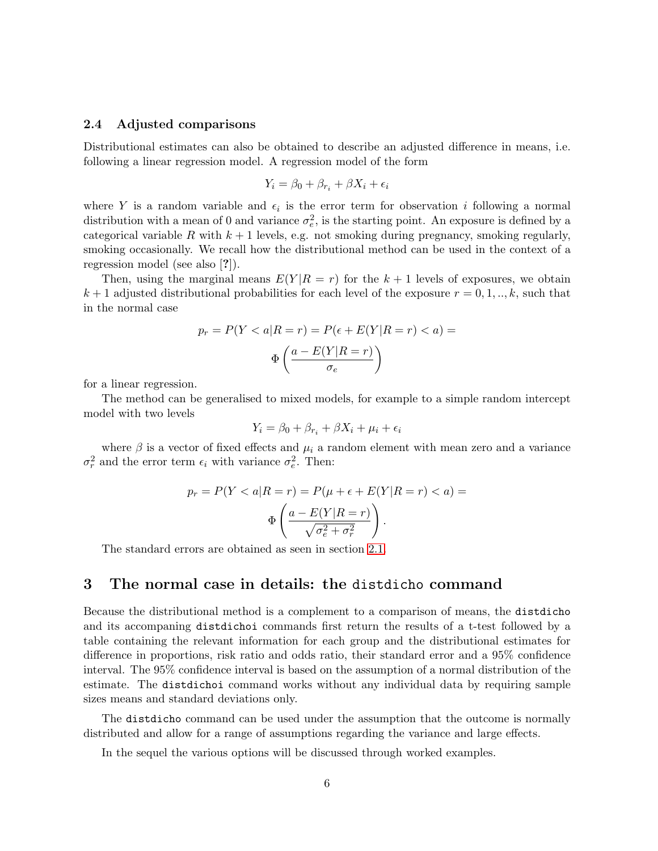#### 2.4 Adjusted comparisons

Distributional estimates can also be obtained to describe an adjusted difference in means, i.e. following a linear regression model. A regression model of the form

$$
Y_i = \beta_0 + \beta_{r_i} + \beta X_i + \epsilon_i
$$

where Y is a random variable and  $\epsilon_i$  is the error term for observation i following a normal distribution with a mean of 0 and variance  $\sigma_e^2$ , is the starting point. An exposure is defined by a categorical variable R with  $k + 1$  levels, e.g. not smoking during pregnancy, smoking regularly, smoking occasionally. We recall how the distributional method can be used in the context of a regression model (see also [?]).

Then, using the marginal means  $E(Y|R = r)$  for the  $k + 1$  levels of exposures, we obtain  $k+1$  adjusted distributional probabilities for each level of the exposure  $r = 0, 1, \ldots, k$ , such that in the normal case

$$
p_r = P(Y < a | R = r) = P(\epsilon + E(Y | R = r) < a) = \Phi\left(\frac{a - E(Y | R = r)}{\sigma_e}\right)
$$

for a linear regression.

The method can be generalised to mixed models, for example to a simple random intercept model with two levels

$$
Y_i = \beta_0 + \beta_{r_i} + \beta X_i + \mu_i + \epsilon_i
$$

where  $\beta$  is a vector of fixed effects and  $\mu_i$  a random element with mean zero and a variance  $\sigma_r^2$  and the error term  $\epsilon_i$  with variance  $\sigma_e^2$ . Then:

$$
p_r = P(Y < a | R = r) = P(\mu + \epsilon + E(Y | R = r) < a) = \Phi\left(\frac{a - E(Y | R = r)}{\sqrt{\sigma_e^2 + \sigma_r^2}}\right).
$$

The standard errors are obtained as seen in section [2.1.](#page-1-0)

# 3 The normal case in details: the distdicho command

Because the distributional method is a complement to a comparison of means, the distdicho and its accompaning distdichoi commands first return the results of a t-test followed by a table containing the relevant information for each group and the distributional estimates for difference in proportions, risk ratio and odds ratio, their standard error and a 95% confidence interval. The 95% confidence interval is based on the assumption of a normal distribution of the estimate. The distdichoi command works without any individual data by requiring sample sizes means and standard deviations only.

The distdicho command can be used under the assumption that the outcome is normally distributed and allow for a range of assumptions regarding the variance and large effects.

In the sequel the various options will be discussed through worked examples.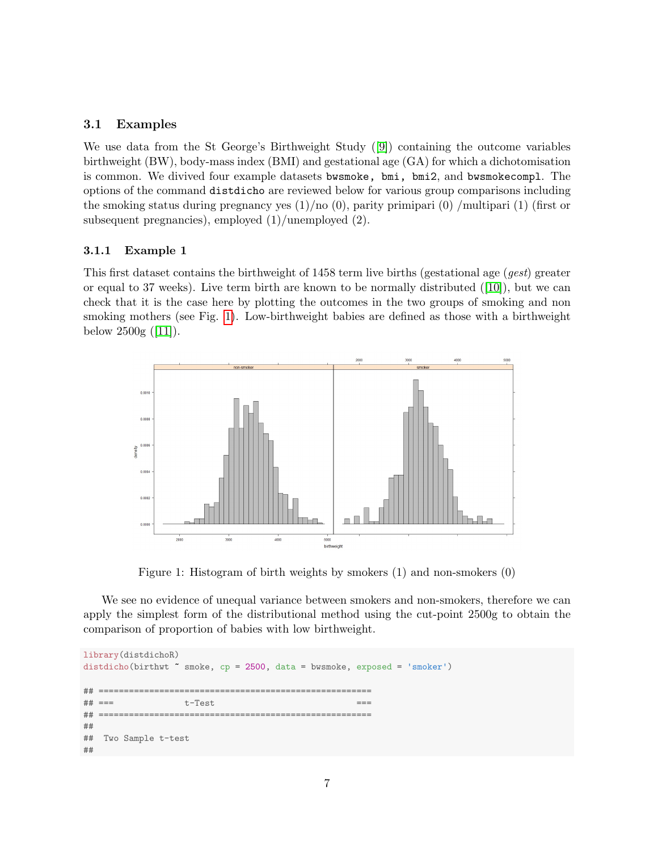# 3.1 Examples

We use data from the St George's Birthweight Study([\[9\]](#page-19-8)) containing the outcome variables birthweight (BW), body-mass index (BMI) and gestational age (GA) for which a dichotomisation is common. We divived four example datasets bwsmoke, bmi, bmi2, and bwsmokecompl. The options of the command distdicho are reviewed below for various group comparisons including the smoking status during pregnancy yes  $(1)/no(0)$ , parity primipari  $(0)/m$ ultipari  $(1)$  (first or subsequent pregnancies), employed (1)/unemployed (2).

## 3.1.1 Example 1

This first dataset contains the birthweight of 1458 term live births (gestational age (gest) greater orequal to 37 weeks). Live term birth are known to be normally distributed  $([10])$  $([10])$  $([10])$ , but we can check that it is the case here by plotting the outcomes in the two groups of smoking and non smoking mothers (see Fig. [1\)](#page-6-0). Low-birthweight babies are defined as those with a birthweight below $2500g$  ([\[11\]](#page-19-10)).



<span id="page-6-0"></span>Figure 1: Histogram of birth weights by smokers (1) and non-smokers (0)

We see no evidence of unequal variance between smokers and non-smokers, therefore we can apply the simplest form of the distributional method using the cut-point 2500g to obtain the comparison of proportion of babies with low birthweight.

```
library(distdichoR)
distdicho(birthwt \tilde{\ } smoke, cp = 2500, data = bwsmoke, exposed = 'smoker')
## ======================================================
## === t-Test ===
## ======================================================
##
## Two Sample t-test
##
```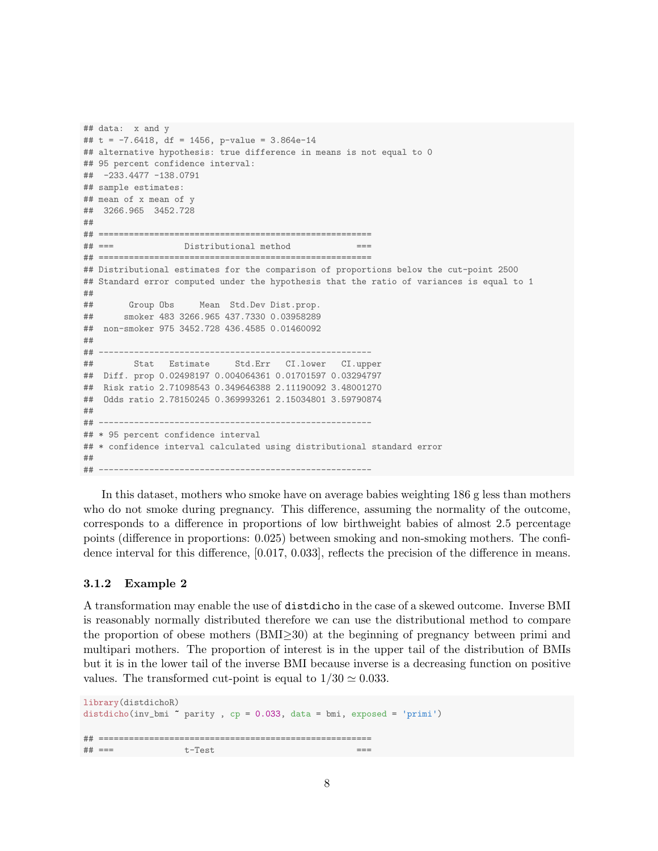```
## data: x and y
## t = -7.6418, df = 1456, p-value = 3.864e-14
## alternative hypothesis: true difference in means is not equal to 0
## 95 percent confidence interval:
## -233.4477 -138.0791
## sample estimates:
## mean of x mean of y
## 3266.965 3452.728
##
## ======================================================
## === Distributional method ===
## ======================================================
## Distributional estimates for the comparison of proportions below the cut-point 2500
## Standard error computed under the hypothesis that the ratio of variances is equal to 1
##
## Group Obs Mean Std.Dev Dist.prop.
## smoker 483 3266.965 437.7330 0.03958289
## non-smoker 975 3452.728 436.4585 0.01460092
##
## ------------------------------------------------------
## Stat Estimate Std.Err CI.lower CI.upper
## Diff. prop 0.02498197 0.004064361 0.01701597 0.03294797
## Risk ratio 2.71098543 0.349646388 2.11190092 3.48001270
## Odds ratio 2.78150245 0.369993261 2.15034801 3.59790874
##
## ------------------------------------------------------
## * 95 percent confidence interval
## * confidence interval calculated using distributional standard error
##
## ------------------------------------------------------
```
In this dataset, mothers who smoke have on average babies weighting 186 g less than mothers who do not smoke during pregnancy. This difference, assuming the normality of the outcome, corresponds to a difference in proportions of low birthweight babies of almost 2.5 percentage points (difference in proportions: 0.025) between smoking and non-smoking mothers. The confidence interval for this difference, [0.017, 0.033], reflects the precision of the difference in means.

### 3.1.2 Example 2

A transformation may enable the use of distdicho in the case of a skewed outcome. Inverse BMI is reasonably normally distributed therefore we can use the distributional method to compare the proportion of obese mothers (BMI≥30) at the beginning of pregnancy between primi and multipari mothers. The proportion of interest is in the upper tail of the distribution of BMIs but it is in the lower tail of the inverse BMI because inverse is a decreasing function on positive values. The transformed cut-point is equal to  $1/30 \simeq 0.033$ .

```
library(distdichoR)
distdicho(inv_bmi ~ parity , cp = 0.033, data = bmi, exposed = 'primi')
## ======================================================
\# \# === t-Test
```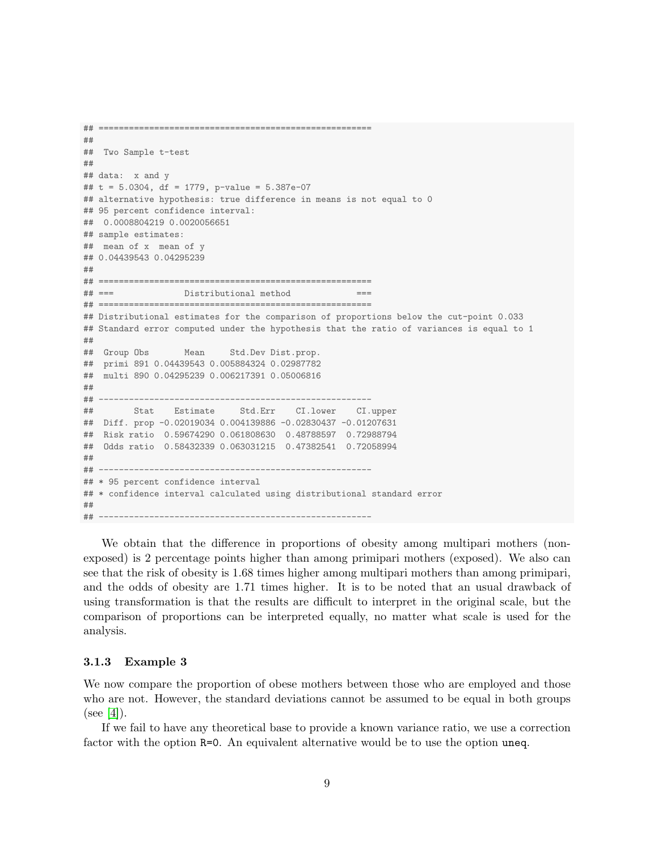```
##
## Two Sample t-test
##
## data: x and y
## t = 5.0304, df = 1779, p-value = 5.387e-07
## alternative hypothesis: true difference in means is not equal to 0
## 95 percent confidence interval:
## 0.0008804219 0.0020056651
## sample estimates:
## mean of x mean of y
## 0.04439543 0.04295239
##
## ======================================================
## === Distributional method ===
## ======================================================
## Distributional estimates for the comparison of proportions below the cut-point 0.033
## Standard error computed under the hypothesis that the ratio of variances is equal to 1
##
## Group Obs Mean Std.Dev Dist.prop.
## primi 891 0.04439543 0.005884324 0.02987782
## multi 890 0.04295239 0.006217391 0.05006816
##
## ------------------------------------------------------
## Stat Estimate Std.Err CI.lower CI.upper
## Diff. prop -0.02019034 0.004139886 -0.02830437 -0.01207631
## Risk ratio 0.59674290 0.061808630 0.48788597 0.72988794
## Odds ratio 0.58432339 0.063031215 0.47382541 0.72058994
##
## ------------------------------------------------------
## * 95 percent confidence interval
## * confidence interval calculated using distributional standard error
##
## ------------------------------------------------------
```
## ======================================================

We obtain that the difference in proportions of obesity among multipari mothers (nonexposed) is 2 percentage points higher than among primipari mothers (exposed). We also can see that the risk of obesity is 1.68 times higher among multipari mothers than among primipari, and the odds of obesity are 1.71 times higher. It is to be noted that an usual drawback of using transformation is that the results are difficult to interpret in the original scale, but the comparison of proportions can be interpreted equally, no matter what scale is used for the analysis.

### 3.1.3 Example 3

We now compare the proportion of obese mothers between those who are employed and those who are not. However, the standard deviations cannot be assumed to be equal in both groups (see [\[4\]](#page-19-3)).

If we fail to have any theoretical base to provide a known variance ratio, we use a correction factor with the option R=0. An equivalent alternative would be to use the option uneq.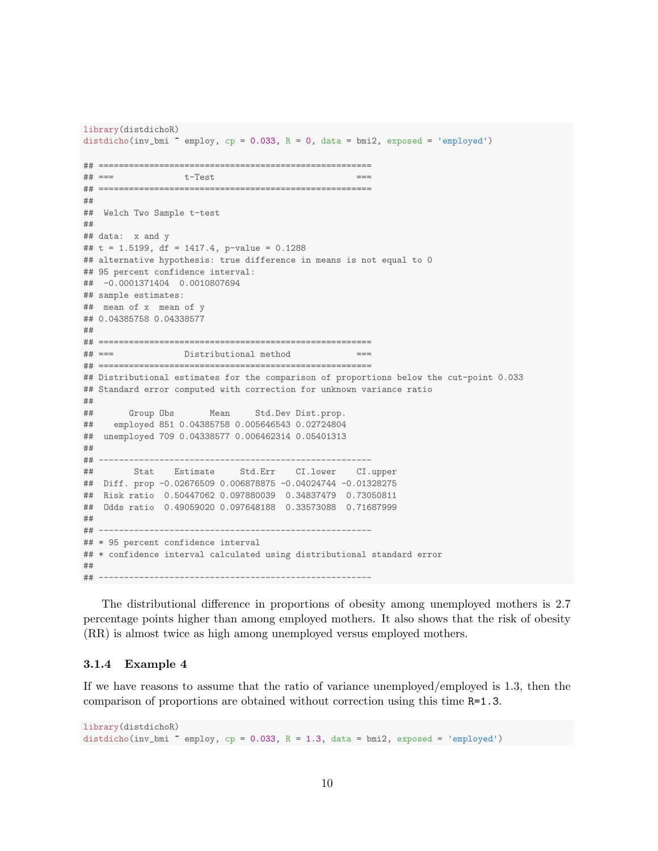```
library(distdichoR)
distdicho(inv_bmi ~ employ, cp = 0.033, R = 0, data = bmi2, exposed = 'employed')
## ======================================================
## === t-Test ===
## ======================================================
##
## Welch Two Sample t-test
##
## data: x and y
## t = 1.5199, df = 1417.4, p-value = 0.1288
## alternative hypothesis: true difference in means is not equal to 0
## 95 percent confidence interval:
## -0.0001371404 0.0010807694
## sample estimates:
## mean of x mean of y
## 0.04385758 0.04338577
##
## ======================================================
## === Distributional method ===
## ======================================================
## Distributional estimates for the comparison of proportions below the cut-point 0.033
## Standard error computed with correction for unknown variance ratio
##
## Group Obs Mean Std.Dev Dist.prop.
## employed 851 0.04385758 0.005646543 0.02724804
## unemployed 709 0.04338577 0.006462314 0.05401313
##
## ------------------------------------------------------
## Stat Estimate Std.Err CI.lower CI.upper
## Diff. prop -0.02676509 0.006878875 -0.04024744 -0.01328275
## Risk ratio 0.50447062 0.097880039 0.34837479 0.73050811
## Odds ratio 0.49059020 0.097648188 0.33573088 0.71687999
##
## ------------------------------------------------------
## * 95 percent confidence interval
## * confidence interval calculated using distributional standard error
##
## ------------------------------------------------------
```
The distributional difference in proportions of obesity among unemployed mothers is 2.7 percentage points higher than among employed mothers. It also shows that the risk of obesity (RR) is almost twice as high among unemployed versus employed mothers.

#### 3.1.4 Example 4

If we have reasons to assume that the ratio of variance unemployed/employed is 1.3, then the comparison of proportions are obtained without correction using this time R=1.3.

```
library(distdichoR)
distdicho(inv_bmi ~ employ, cp = 0.033, R = 1.3, data = bmi2, exposed = 'employed')
```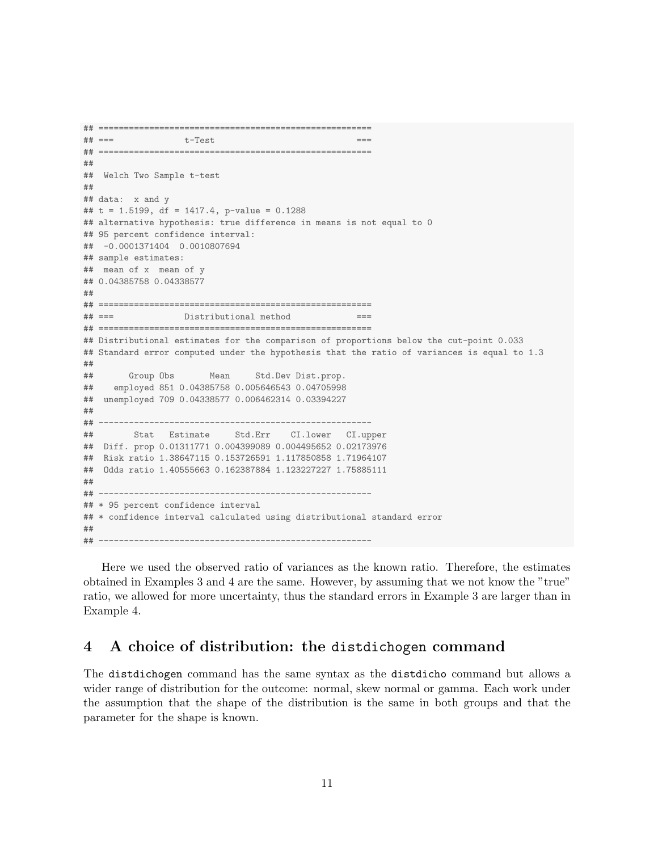```
## ======================================================
## === t-Test ===
## ======================================================
##
## Welch Two Sample t-test
##
## data: x and y
## t = 1.5199, df = 1417.4, p-value = 0.1288
## alternative hypothesis: true difference in means is not equal to 0
## 95 percent confidence interval:
## -0.0001371404 0.0010807694
## sample estimates:
## mean of x mean of y
## 0.04385758 0.04338577
##
## ======================================================
## === Distributional method ===
## ======================================================
## Distributional estimates for the comparison of proportions below the cut-point 0.033
## Standard error computed under the hypothesis that the ratio of variances is equal to 1.3
##
## Group Obs Mean Std.Dev Dist.prop.
## employed 851 0.04385758 0.005646543 0.04705998
## unemployed 709 0.04338577 0.006462314 0.03394227
##
## ------------------------------------------------------
## Stat Estimate Std.Err CI.lower CI.upper
## Diff. prop 0.01311771 0.004399089 0.004495652 0.02173976
## Risk ratio 1.38647115 0.153726591 1.117850858 1.71964107
## Odds ratio 1.40555663 0.162387884 1.123227227 1.75885111
##
## ------------------------------------------------------
## * 95 percent confidence interval
## * confidence interval calculated using distributional standard error
##
## ------------------------------------------------------
```
Here we used the observed ratio of variances as the known ratio. Therefore, the estimates obtained in Examples 3 and 4 are the same. However, by assuming that we not know the "true" ratio, we allowed for more uncertainty, thus the standard errors in Example 3 are larger than in Example 4.

# 4 A choice of distribution: the distdichogen command

The distdichogen command has the same syntax as the distdicho command but allows a wider range of distribution for the outcome: normal, skew normal or gamma. Each work under the assumption that the shape of the distribution is the same in both groups and that the parameter for the shape is known.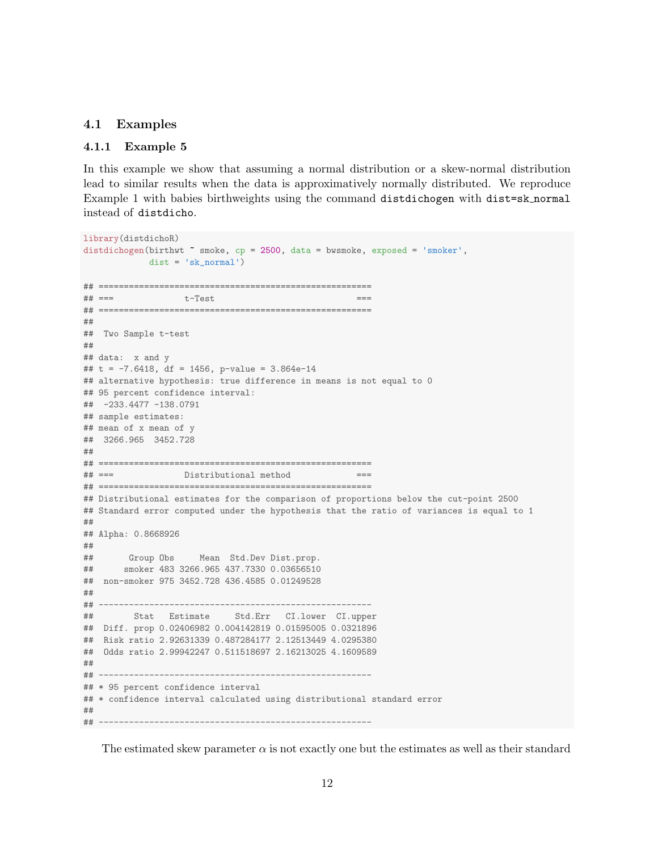### 4.1 Examples

### 4.1.1 Example 5

In this example we show that assuming a normal distribution or a skew-normal distribution lead to similar results when the data is approximatively normally distributed. We reproduce Example 1 with babies birthweights using the command distdichogen with dist=sk normal instead of distdicho.

```
library(distdichoR)
distdichogen(birthwt " smoke, cp = 2500, data = bwsmoke, exposed = 'smoker',
            dist = 'sk_normal')
## ======================================================
## === t-Test ===
## ======================================================
##
## Two Sample t-test
##
## data: x and y
## t = -7.6418, df = 1456, p-value = 3.864e-14
## alternative hypothesis: true difference in means is not equal to 0
## 95 percent confidence interval:
## -233.4477 -138.0791
## sample estimates:
## mean of x mean of y
## 3266.965 3452.728
##
## ======================================================
## === Distributional method ===
## ======================================================
## Distributional estimates for the comparison of proportions below the cut-point 2500
## Standard error computed under the hypothesis that the ratio of variances is equal to 1
##
## Alpha: 0.8668926
##<br>##
       Group Obs Mean Std.Dev Dist.prop.
## smoker 483 3266.965 437.7330 0.03656510
## non-smoker 975 3452.728 436.4585 0.01249528
##
## ------------------------------------------------------
## Stat Estimate Std.Err CI.lower CI.upper
## Diff. prop 0.02406982 0.004142819 0.01595005 0.0321896
## Risk ratio 2.92631339 0.487284177 2.12513449 4.0295380
## Odds ratio 2.99942247 0.511518697 2.16213025 4.1609589
##
## ------------------------------------------------------
## * 95 percent confidence interval
## * confidence interval calculated using distributional standard error
##
## ------------------------------------------------------
```
The estimated skew parameter  $\alpha$  is not exactly one but the estimates as well as their standard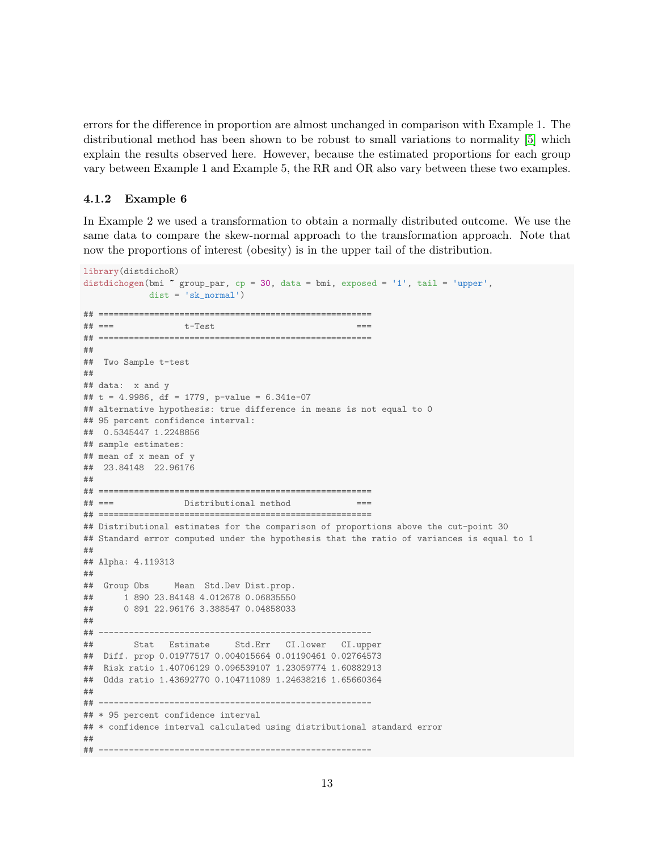errors for the difference in proportion are almost unchanged in comparison with Example 1. The distributional method has been shown to be robust to small variations to normality [\[5\]](#page-19-4) which explain the results observed here. However, because the estimated proportions for each group vary between Example 1 and Example 5, the RR and OR also vary between these two examples.

### 4.1.2 Example 6

In Example 2 we used a transformation to obtain a normally distributed outcome. We use the same data to compare the skew-normal approach to the transformation approach. Note that now the proportions of interest (obesity) is in the upper tail of the distribution.

```
library(distdichoR)
distdichogen(bmi ~ group_par, cp = 30, data = bmi, exposed = '1', tail = 'upper',
           dist = 'sk_normal')
## ======================================================
\# \# == = t-Test## ======================================================
##
## Two Sample t-test
##
## data: x and y
## t = 4.9986, df = 1779, p-value = 6.341e-07
## alternative hypothesis: true difference in means is not equal to 0
## 95 percent confidence interval:
## 0.5345447 1.2248856
## sample estimates:
## mean of x mean of y
## 23.84148 22.96176
##
## ======================================================
## === Distributional method ===
## ======================================================
## Distributional estimates for the comparison of proportions above the cut-point 30
## Standard error computed under the hypothesis that the ratio of variances is equal to 1
##
## Alpha: 4.119313
##
## Group Obs Mean Std.Dev Dist.prop.
## 1 890 23.84148 4.012678 0.06835550
## 0 891 22.96176 3.388547 0.04858033
##
## ------------------------------------------------------
## Stat Estimate Std.Err CI.lower CI.upper
## Diff. prop 0.01977517 0.004015664 0.01190461 0.02764573
## Risk ratio 1.40706129 0.096539107 1.23059774 1.60882913
## Odds ratio 1.43692770 0.104711089 1.24638216 1.65660364
##
## ------------------------------------------------------
## * 95 percent confidence interval
## * confidence interval calculated using distributional standard error
##
## ------------------------------------------------------
```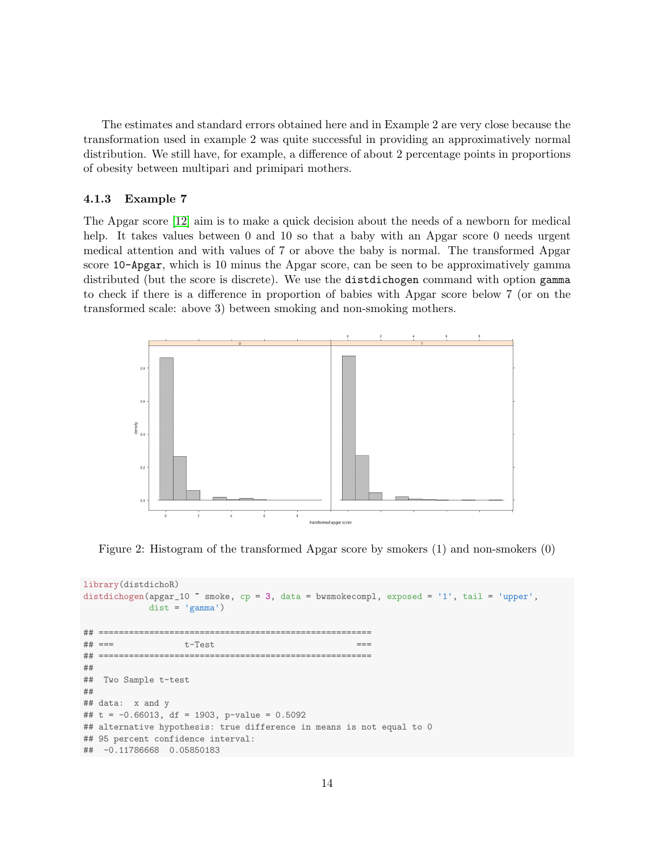The estimates and standard errors obtained here and in Example 2 are very close because the transformation used in example 2 was quite successful in providing an approximatively normal distribution. We still have, for example, a difference of about 2 percentage points in proportions of obesity between multipari and primipari mothers.

#### 4.1.3 Example 7

The Apgar score [\[12\]](#page-19-11) aim is to make a quick decision about the needs of a newborn for medical help. It takes values between 0 and 10 so that a baby with an Apgar score 0 needs urgent medical attention and with values of 7 or above the baby is normal. The transformed Apgar score 10-Apgar, which is 10 minus the Apgar score, can be seen to be approximatively gamma distributed (but the score is discrete). We use the distdichogen command with option gamma to check if there is a difference in proportion of babies with Apgar score below 7 (or on the transformed scale: above 3) between smoking and non-smoking mothers.



Figure 2: Histogram of the transformed Apgar score by smokers (1) and non-smokers (0)

```
library(distdichoR)
distdichogen(apgar_10 ~ smoke, cp = 3, data = bwsmokecompl, exposed = '1', tail = 'upper',
            dist = 'gamma')## ======================================================
## === t-Test ===
## ======================================================
##
## Two Sample t-test
##
## data: x and y
## t = -0.66013, df = 1903, p-value = 0.5092
## alternative hypothesis: true difference in means is not equal to 0
## 95 percent confidence interval:
## -0.11786668 0.05850183
```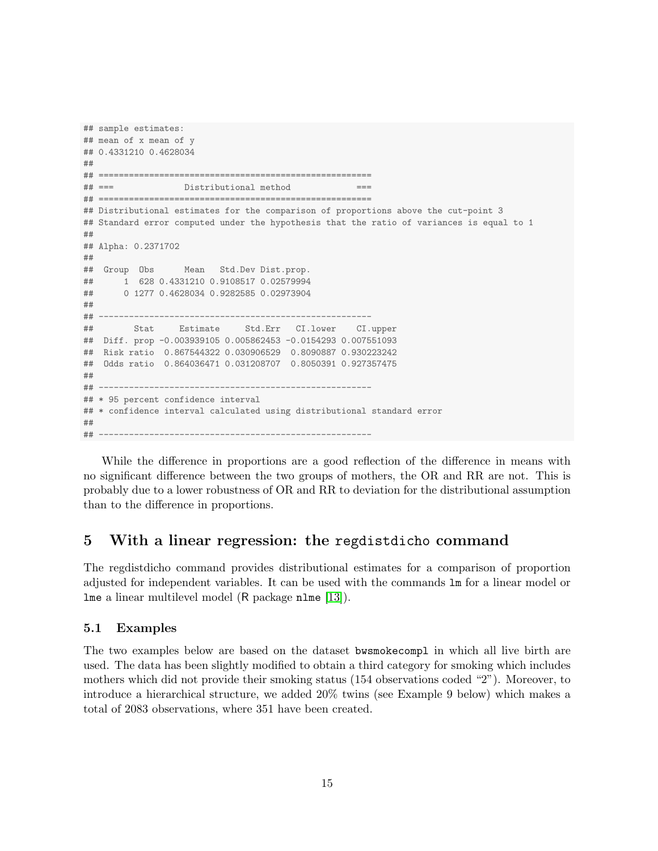```
## sample estimates:
## mean of x mean of y
## 0.4331210 0.4628034
##
## ======================================================
## === Distributional method
## ======================================================
## Distributional estimates for the comparison of proportions above the cut-point 3
## Standard error computed under the hypothesis that the ratio of variances is equal to 1
##
## Alpha: 0.2371702
##
## Group Obs Mean Std.Dev Dist.prop.
## 1 628 0.4331210 0.9108517 0.02579994
## 0 1277 0.4628034 0.9282585 0.02973904
##
## ------------------------------------------------------
## Stat Estimate Std.Err CI.lower CI.upper
## Diff. prop -0.003939105 0.005862453 -0.0154293 0.007551093
## Risk ratio 0.867544322 0.030906529 0.8090887 0.930223242
## Odds ratio 0.864036471 0.031208707 0.8050391 0.927357475
##
## ------------------------------------------------------
## * 95 percent confidence interval
## * confidence interval calculated using distributional standard error
##
## ------------------------------------------------------
```
While the difference in proportions are a good reflection of the difference in means with no significant difference between the two groups of mothers, the OR and RR are not. This is probably due to a lower robustness of OR and RR to deviation for the distributional assumption than to the difference in proportions.

# 5 With a linear regression: the regdistdicho command

The regdistdicho command provides distributional estimates for a comparison of proportion adjusted for independent variables. It can be used with the commands lm for a linear model or lme a linear multilevel model (R package nlme [\[13\]](#page-19-12)).

### 5.1 Examples

The two examples below are based on the dataset bwsmokecompl in which all live birth are used. The data has been slightly modified to obtain a third category for smoking which includes mothers which did not provide their smoking status (154 observations coded "2"). Moreover, to introduce a hierarchical structure, we added 20% twins (see Example 9 below) which makes a total of 2083 observations, where 351 have been created.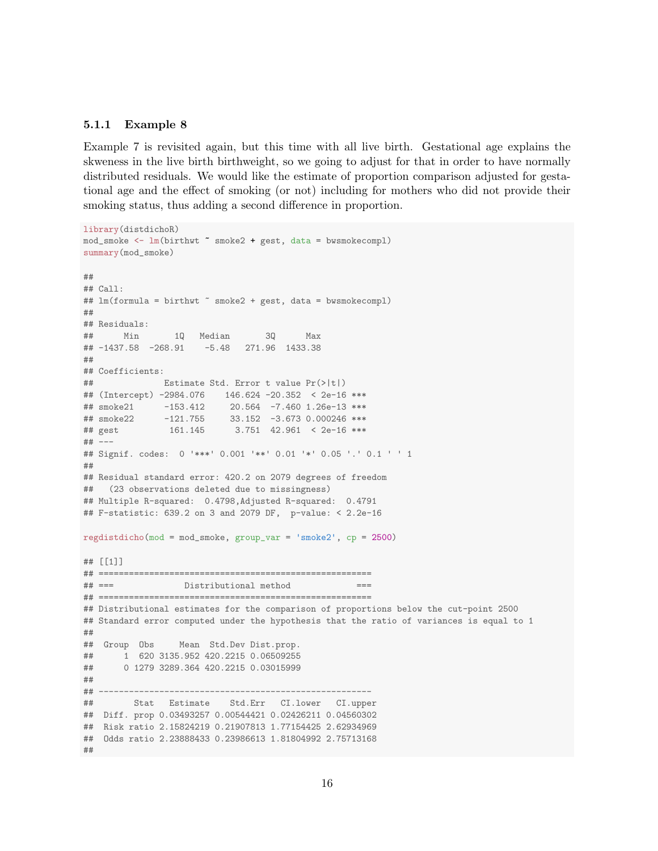### 5.1.1 Example 8

Example 7 is revisited again, but this time with all live birth. Gestational age explains the skweness in the live birth birthweight, so we going to adjust for that in order to have normally distributed residuals. We would like the estimate of proportion comparison adjusted for gestational age and the effect of smoking (or not) including for mothers who did not provide their smoking status, thus adding a second difference in proportion.

```
library(distdichoR)
mod_smoke <- lm(birthwt ~ smoke2 + gest, data = bwsmokecompl)
summary(mod_smoke)
##
## Call:
## lm(formula = birthwt " smoke2 + gest, data = bwsmokecompl)
##
## Residuals:
## Min 1Q Median 3Q Max
## -1437.58 -268.91 -5.48 271.96 1433.38
##
## Coefficients:
## Estimate Std. Error t value Pr(>|t|)
## (Intercept) -2984.076 146.624 -20.352 < 2e-16 ***
## smoke21 -153.412 20.564 -7.460 1.26e-13 ***
## smoke22 -121.755 33.152 -3.673 0.000246 ***
## gest 161.145 3.751 42.961 < 2e-16 ***
## ---
## Signif. codes: 0 '***' 0.001 '**' 0.01 '*' 0.05 '.' 0.1 ' ' 1
##
## Residual standard error: 420.2 on 2079 degrees of freedom
## (23 observations deleted due to missingness)
## Multiple R-squared: 0.4798,Adjusted R-squared: 0.4791
## F-statistic: 639.2 on 3 and 2079 DF, p-value: < 2.2e-16
regdistdicho(mod = mod_smoke, group_var = 'smoke2', cp = 2500)
## [[1]]
## ======================================================
## === Distributional method ===
## ======================================================
## Distributional estimates for the comparison of proportions below the cut-point 2500
## Standard error computed under the hypothesis that the ratio of variances is equal to 1
##
## Group Obs Mean Std.Dev Dist.prop.
## 1 620 3135.952 420.2215 0.06509255
## 0 1279 3289.364 420.2215 0.03015999
##
## ------------------------------------------------------
## Stat Estimate Std.Err CI.lower CI.upper
## Diff. prop 0.03493257 0.00544421 0.02426211 0.04560302
## Risk ratio 2.15824219 0.21907813 1.77154425 2.62934969
## Odds ratio 2.23888433 0.23986613 1.81804992 2.75713168
##
```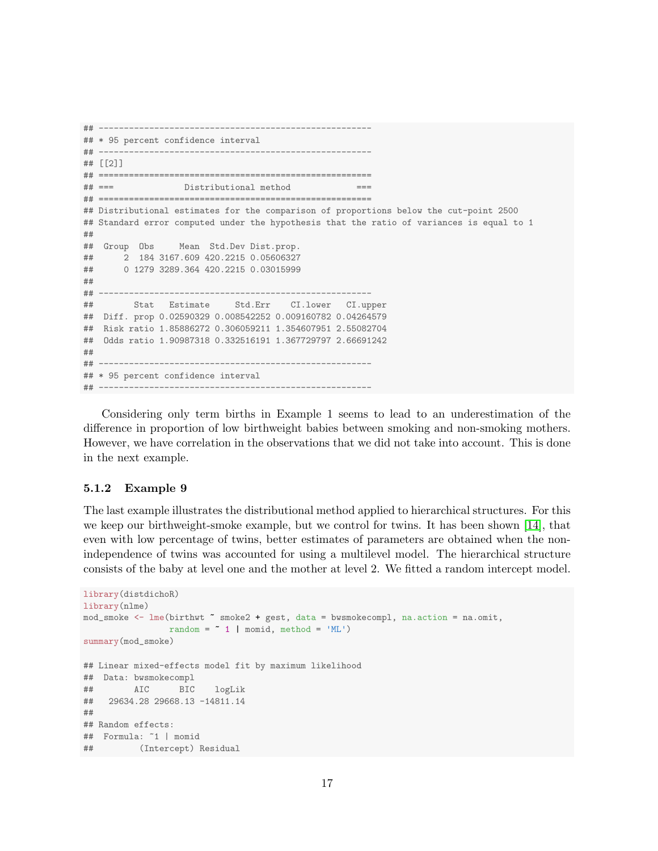```
## ------------------------------------------------------
## * 95 percent confidence interval
## ------------------------------------------------------
## [[2]]
## ======================================================
## === Distributional method
## ======================================================
## Distributional estimates for the comparison of proportions below the cut-point 2500
## Standard error computed under the hypothesis that the ratio of variances is equal to 1
##
## Group Obs Mean Std.Dev Dist.prop.
## 2 184 3167.609 420.2215 0.05606327
## 0 1279 3289.364 420.2215 0.03015999
##
## ------------------------------------------------------
## Stat Estimate Std.Err CI.lower CI.upper
## Diff. prop 0.02590329 0.008542252 0.009160782 0.04264579
## Risk ratio 1.85886272 0.306059211 1.354607951 2.55082704
## Odds ratio 1.90987318 0.332516191 1.367729797 2.66691242
##
## ------------------------------------------------------
## * 95 percent confidence interval
## ------------------------------------------------------
```
Considering only term births in Example 1 seems to lead to an underestimation of the difference in proportion of low birthweight babies between smoking and non-smoking mothers. However, we have correlation in the observations that we did not take into account. This is done in the next example.

#### 5.1.2 Example 9

The last example illustrates the distributional method applied to hierarchical structures. For this we keep our birthweight-smoke example, but we control for twins. It has been shown [\[14\]](#page-19-13), that even with low percentage of twins, better estimates of parameters are obtained when the nonindependence of twins was accounted for using a multilevel model. The hierarchical structure consists of the baby at level one and the mother at level 2. We fitted a random intercept model.

```
library(distdichoR)
library(nlme)
mod_smoke <- lme(birthwt ~ smoke2 + gest, data = bwsmokecompl, na.action = na.omit,
               random = * 1 | momid, method = 'ML')
summary(mod_smoke)
## Linear mixed-effects model fit by maximum likelihood
## Data: bwsmokecompl
## AIC BIC logLik
## 29634.28 29668.13 -14811.14
##
## Random effects:
## Formula: ~1 | momid
## (Intercept) Residual
```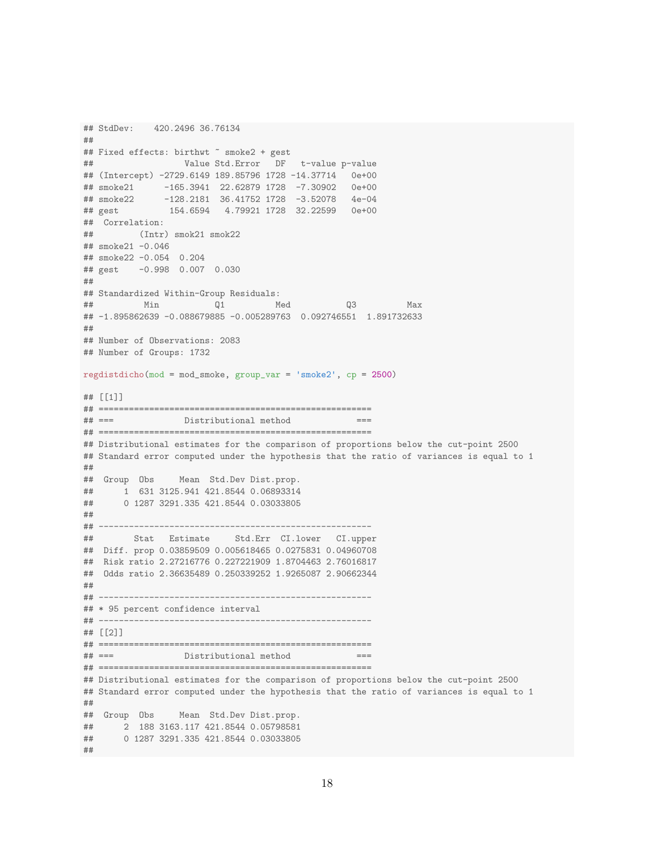```
## StdDev: 420.2496 36.76134
##
## Fixed effects: birthwt " smoke2 + gest
## Value Std.Error DF t-value p-value
## (Intercept) -2729.6149 189.85796 1728 -14.37714 0e+00
## smoke21 -165.3941 22.62879 1728 -7.30902 0e+00
## smoke22 -128.2181 36.41752 1728 -3.52078 4e-04
## gest 154.6594 4.79921 1728 32.22599 0e+00
## Correlation:
## (Intr) smok21 smok22
## smoke21 -0.046
## smoke22 -0.054 0.204
## gest -0.998 0.007 0.030
##
## Standardized Within-Group Residuals:
## Min Q1 Med Q3 Max
## -1.895862639 -0.088679885 -0.005289763 0.092746551 1.891732633
##
## Number of Observations: 2083
## Number of Groups: 1732
regdistdicho(mod = mod_smoke, group_var = 'smoke2', cp = 2500)
## [[1]]
## ======================================================
       Distributional method ===
## ======================================================
## Distributional estimates for the comparison of proportions below the cut-point 2500
## Standard error computed under the hypothesis that the ratio of variances is equal to 1
##
## Group Obs Mean Std.Dev Dist.prop.
## 1 631 3125.941 421.8544 0.06893314
## 0 1287 3291.335 421.8544 0.03033805
##
## ------------------------------------------------------
## Stat Estimate Std.Err CI.lower CI.upper
## Diff. prop 0.03859509 0.005618465 0.0275831 0.04960708
## Risk ratio 2.27216776 0.227221909 1.8704463 2.76016817
## Odds ratio 2.36635489 0.250339252 1.9265087 2.90662344
##
## ------------------------------------------------------
## * 95 percent confidence interval
## ------------------------------------------------------
## [[2]]
## ======================================================
## === Distributional method
## ======================================================
## Distributional estimates for the comparison of proportions below the cut-point 2500
## Standard error computed under the hypothesis that the ratio of variances is equal to 1
##
## Group Obs Mean Std.Dev Dist.prop.
## 2 188 3163.117 421.8544 0.05798581
## 0 1287 3291.335 421.8544 0.03033805
##
```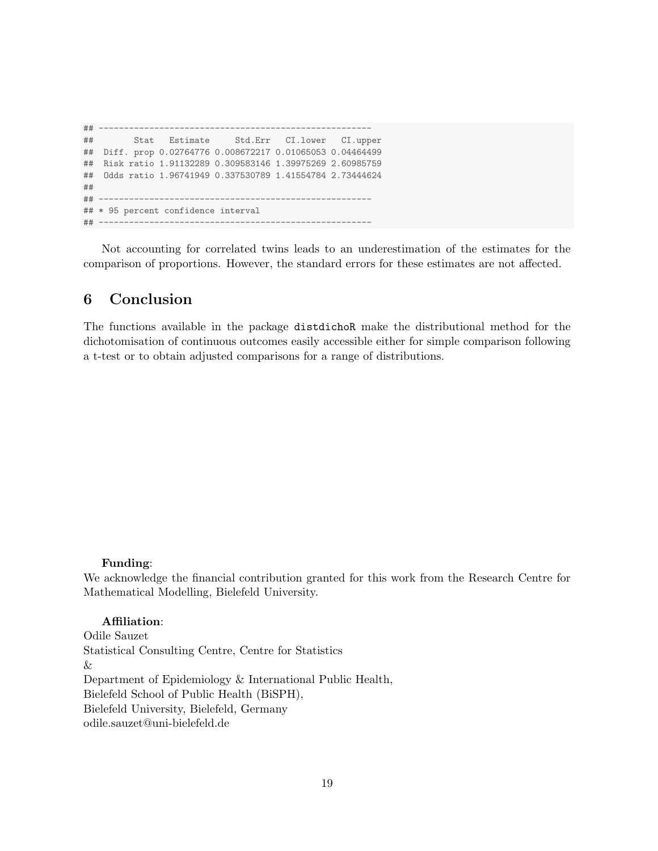## ------------------------------------------------------ ## Stat Estimate Std.Err CI.lower CI.upper ## Diff. prop 0.02764776 0.008672217 0.01065053 0.04464499 ## Risk ratio 1.91132289 0.309583146 1.39975269 2.60985759 ## Odds ratio 1.96741949 0.337530789 1.41554784 2.73444624 ## ## ------------------------------------------------------ ## \* 95 percent confidence interval ## ------------------------------------------------------

Not accounting for correlated twins leads to an underestimation of the estimates for the comparison of proportions. However, the standard errors for these estimates are not affected.

# 6 Conclusion

The functions available in the package distdichoR make the distributional method for the dichotomisation of continuous outcomes easily accessible either for simple comparison following a t-test or to obtain adjusted comparisons for a range of distributions.

#### Funding:

We acknowledge the financial contribution granted for this work from the Research Centre for Mathematical Modelling, Bielefeld University.

### Affiliation:

Odile Sauzet Statistical Consulting Centre, Centre for Statistics & Department of Epidemiology & International Public Health, Bielefeld School of Public Health (BiSPH), Bielefeld University, Bielefeld, Germany odile.sauzet@uni-bielefeld.de